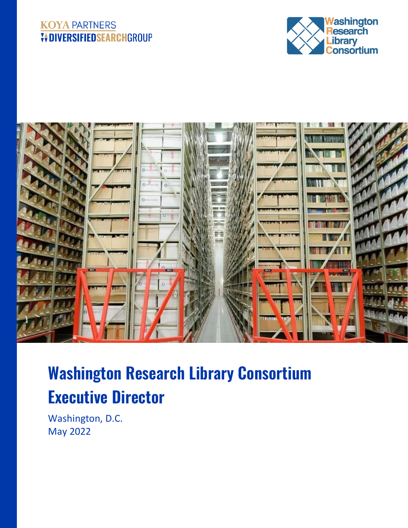#### **KOYA PARTNERS V+DIVERSIFIEDSEARCHGROUP**





# **Washington Research Library Consortium Executive Director**

Washington, D.C. May 2022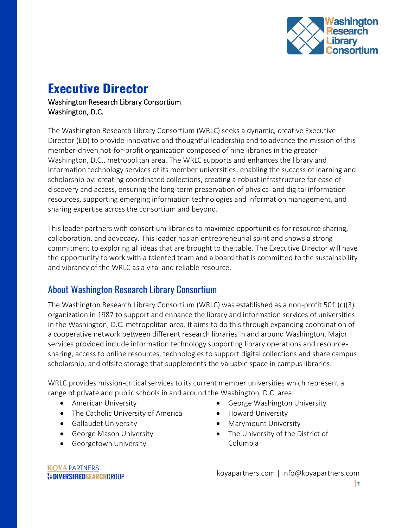

## **Executive Director**

#### Washington Research Library Consortium Washington, D.C.

The Washington Research Library Consortium (WRLC) seeks a dynamic, creative Executive Director (ED) to provide innovative and thoughtful leadership and to advance the mission of this member-driven not-for-profit organization composed of nine libraries in the greater Washington, D.C., metropolitan area. The WRLC supports and enhances the library and information technology services of its member universities, enabling the success of learning and scholarship by: creating coordinated collections, creating a robust infrastructure for ease of discovery and access, ensuring the long-term preservation of physical and digital information resources, supporting emerging information technologies and information management, and sharing expertise across the consortium and beyond.

This leader partners with consortium libraries to maximize opportunities for resource sharing, collaboration, and advocacy. This leader has an entrepreneurial spirit and shows a strong commitment to exploring all ideas that are brought to the table. The Executive Director will have the opportunity to work with a talented team and a board that is committed to the sustainability and vibrancy of the WRLC as a vital and reliable resource.

### About Washington Research Library Consortium

The Washington Research Library Consortium (WRLC) was established as a non-profit 501 (c)(3) organization in 1987 to support and enhance the library and information services of universities in the Washington, D.C. metropolitan area. It aims to do this through expanding coordination of a cooperative network between different research libraries in and around Washington. Major services provided include information technology supporting library operations and resourcesharing, access to online resources, technologies to support digital collections and share campus scholarship, and offsite storage that supplements the valuable space in campus libraries.

WRLC provides mission-critical services to its current member universities which represent a range of private and public schools in and around the Washington, D.C. area:

- American University
- The Catholic University of America
- Gallaudet University
- George Mason University
- Georgetown University
- George Washington University
- Howard University
- Marymount University
- The University of the District of Columbia

koyapartners.com | info@koyapartners.com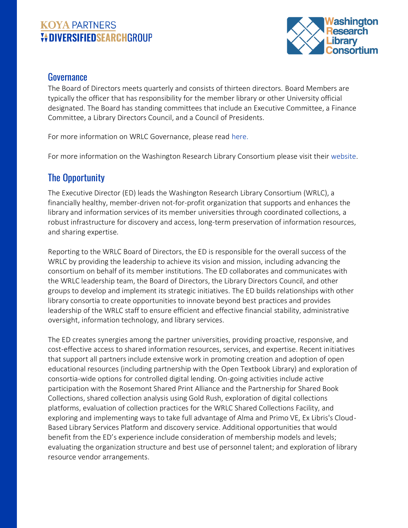#### **KOYA PARTNERS VOIVERSIFIEDSEARCHGROUP**



#### Governance

The Board of Directors meets quarterly and consists of thirteen directors. Board Members are typically the officer that has responsibility for the member library or other University official designated. The Board has standing committees that include an Executive Committee, a Finance Committee, a Library Directors Council, and a Council of Presidents.

For more information on WRLC Governance, please read [here.](https://www.wrlc.org/governance)

For more information on the Washington Research Library Consortium please visit their [website.](https://www.wrlc.org/)

### The Opportunity

The Executive Director (ED) leads the Washington Research Library Consortium (WRLC), a financially healthy, member-driven not-for-profit organization that supports and enhances the library and information services of its member universities through coordinated collections, a robust infrastructure for discovery and access, long-term preservation of information resources, and sharing expertise.

Reporting to the WRLC Board of Directors, the ED is responsible for the overall success of the WRLC by providing the leadership to achieve its vision and mission, including advancing the consortium on behalf of its member institutions. The ED collaborates and communicates with the WRLC leadership team, the Board of Directors, the Library Directors Council, and other groups to develop and implement its strategic initiatives. The ED builds relationships with other library consortia to create opportunities to innovate beyond best practices and provides leadership of the WRLC staff to ensure efficient and effective financial stability, administrative oversight, information technology, and library services.

The ED creates synergies among the partner universities, providing proactive, responsive, and cost-effective access to shared information resources, services, and expertise. Recent initiatives that support all partners include extensive work in promoting creation and adoption of open educational resources (including partnership with the Open Textbook Library) and exploration of consortia-wide options for controlled digital lending. On-going activities include active participation with the Rosemont Shared Print Alliance and the Partnership for Shared Book Collections, shared collection analysis using Gold Rush, exploration of digital collections platforms, evaluation of collection practices for the WRLC Shared Collections Facility, and exploring and implementing ways to take full advantage of Alma and Primo VE, Ex Libris's Cloud-Based Library Services Platform and discovery service. Additional opportunities that would benefit from the ED's experience include consideration of membership models and levels; evaluating the organization structure and best use of personnel talent; and exploration of library resource vendor arrangements.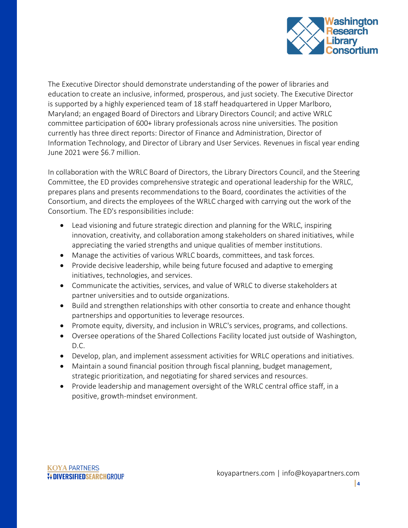

The Executive Director should demonstrate understanding of the power of libraries and education to create an inclusive, informed, prosperous, and just society. The Executive Director is supported by a highly experienced team of 18 staff headquartered in Upper Marlboro, Maryland; an engaged Board of Directors and Library Directors Council; and active WRLC committee participation of 600+ library professionals across nine universities. The position currently has three direct reports: Director of Finance and Administration, Director of Information Technology, and Director of Library and User Services. Revenues in fiscal year ending June 2021 were \$6.7 million.

In collaboration with the WRLC Board of Directors, the Library Directors Council, and the Steering Committee, the ED provides comprehensive strategic and operational leadership for the WRLC, prepares plans and presents recommendations to the Board, coordinates the activities of the Consortium, and directs the employees of the WRLC charged with carrying out the work of the Consortium. The ED's responsibilities include:

- Lead visioning and future strategic direction and planning for the WRLC, inspiring innovation, creativity, and collaboration among stakeholders on shared initiatives, while appreciating the varied strengths and unique qualities of member institutions.
- Manage the activities of various WRLC boards, committees, and task forces.
- Provide decisive leadership, while being future focused and adaptive to emerging initiatives, technologies, and services.
- Communicate the activities, services, and value of WRLC to diverse stakeholders at partner universities and to outside organizations.
- Build and strengthen relationships with other consortia to create and enhance thought partnerships and opportunities to leverage resources.
- Promote equity, diversity, and inclusion in WRLC's services, programs, and collections.
- Oversee operations of the Shared Collections Facility located just outside of Washington, D.C.
- Develop, plan, and implement assessment activities for WRLC operations and initiatives.
- Maintain a sound financial position through fiscal planning, budget management, strategic prioritization, and negotiating for shared services and resources.
- Provide leadership and management oversight of the WRLC central office staff, in a positive, growth-mindset environment.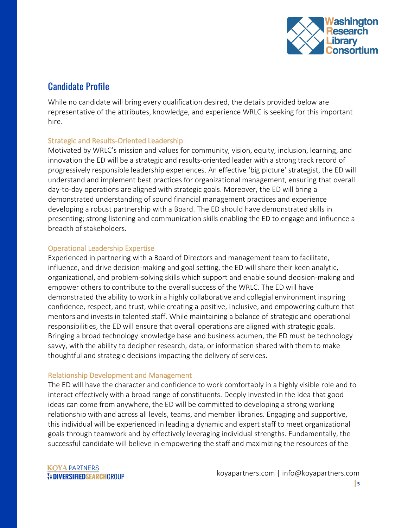

#### Candidate Profile

While no candidate will bring every qualification desired, the details provided below are representative of the attributes, knowledge, and experience WRLC is seeking for this important hire.

#### Strategic and Results-Oriented Leadership

Motivated by WRLC's mission and values for community, vision, equity, inclusion, learning, and innovation the ED will be a strategic and results-oriented leader with a strong track record of progressively responsible leadership experiences. An effective 'big picture' strategist, the ED will understand and implement best practices for organizational management, ensuring that overall day-to-day operations are aligned with strategic goals. Moreover, the ED will bring a demonstrated understanding of sound financial management practices and experience developing a robust partnership with a Board. The ED should have demonstrated skills in presenting; strong listening and communication skills enabling the ED to engage and influence a breadth of stakeholders.

#### Operational Leadership Expertise

Experienced in partnering with a Board of Directors and management team to facilitate, influence, and drive decision-making and goal setting, the ED will share their keen analytic, organizational, and problem-solving skills which support and enable sound decision-making and empower others to contribute to the overall success of the WRLC. The ED will have demonstrated the ability to work in a highly collaborative and collegial environment inspiring confidence, respect, and trust, while creating a positive, inclusive, and empowering culture that mentors and invests in talented staff. While maintaining a balance of strategic and operational responsibilities, the ED will ensure that overall operations are aligned with strategic goals. Bringing a broad technology knowledge base and business acumen, the ED must be technology savvy, with the ability to decipher research, data, or information shared with them to make thoughtful and strategic decisions impacting the delivery of services.

#### Relationship Development and Management

The ED will have the character and confidence to work comfortably in a highly visible role and to interact effectively with a broad range of constituents. Deeply invested in the idea that good ideas can come from anywhere, the ED will be committed to developing a strong working relationship with and across all levels, teams, and member libraries. Engaging and supportive, this individual will be experienced in leading a dynamic and expert staff to meet organizational goals through teamwork and by effectively leveraging individual strengths. Fundamentally, the successful candidate will believe in empowering the staff and maximizing the resources of the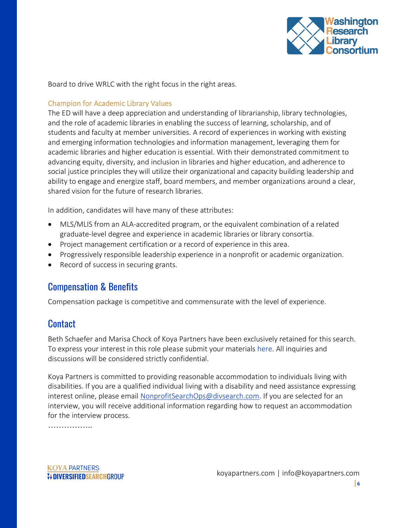

Board to drive WRLC with the right focus in the right areas.

#### Champion for Academic Library Values

The ED will have a deep appreciation and understanding of librarianship, library technologies, and the role of academic libraries in enabling the success of learning, scholarship, and of students and faculty at member universities. A record of experiences in working with existing and emerging information technologies and information management, leveraging them for academic libraries and higher education is essential. With their demonstrated commitment to advancing equity, diversity, and inclusion in libraries and higher education, and adherence to social justice principles they will utilize their organizational and capacity building leadership and ability to engage and energize staff, board members, and member organizations around a clear, shared vision for the future of research libraries.

In addition, candidates will have many of these attributes:

- MLS/MLIS from an ALA-accredited program, or the equivalent combination of a related graduate-level degree and experience in academic libraries or library consortia.
- Project management certification or a record of experience in this area.
- Progressively responsible leadership experience in a nonprofit or academic organization.
- Record of success in securing grants.

#### Compensation & Benefits

Compensation package is competitive and commensurate with the level of experience.

#### **Contact**

Beth Schaefer and Marisa Chock of Koya Partners have been exclusively retained for this search. To express your interest in this role please submit your materials [here.](https://talent-profile.diversifiedsearchgroup.com/search/v2/18194) All inquiries and discussions will be considered strictly confidential.

Koya Partners is committed to providing reasonable accommodation to individuals living with disabilities. If you are a qualified individual living with a disability and need assistance expressing interest online, please email [NonprofitSearchOps@divsearch.com.](mailto:NonprofitSearchOps@divsearch.com) If you are selected for an interview, you will receive additional information regarding how to request an accommodation for the interview process.

……………..